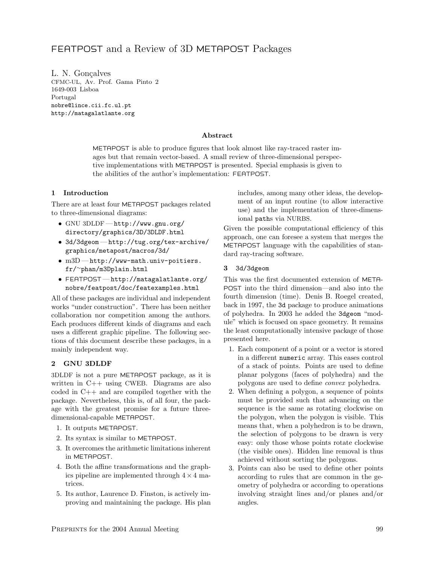# FEATPOST and a Review of 3D METAPOST Packages

L. N. Goncalves CFMC-UL, Av. Prof. Gama Pinto 2 1649-003 Lisboa Portugal nobre@lince.cii.fc.ul.pt http://matagalatlante.org

#### Abstract

METAPOST is able to produce figures that look almost like ray-traced raster images but that remain vector-based. A small review of three-dimensional perspective implementations with METAPOST is presented. Special emphasis is given to the abilities of the author's implementation: FEATPOST.

### 1 Introduction

There are at least four METAPOST packages related to three-dimensional diagrams:

- GNU 3DLDF —http://www.gnu.org/ directory/graphics/3D/3DLDF.html
- 3d/3dgeom http://tug.org/tex-archive/ graphics/metapost/macros/3d/
- m3D-http://www-math.univ-poitiers. fr/<sup>∼</sup>phan/m3Dplain.html
- FEATPOST http://matagalatlante.org/ nobre/featpost/doc/featexamples.html

All of these packages are individual and independent works "under construction". There has been neither collaboration nor competition among the authors. Each produces different kinds of diagrams and each uses a different graphic pipeline. The following sections of this document describe these packages, in a mainly independent way.

## 2 GNU 3DLDF

3DLDF is not a pure METAPOST package, as it is written in C++ using CWEB. Diagrams are also coded in C++ and are compiled together with the package. Nevertheless, this is, of all four, the package with the greatest promise for a future threedimensional-capable METAPOST.

- 1. It outputs METAPOST.
- 2. Its syntax is similar to METAPOST.
- 3. It overcomes the arithmetic limitations inherent in METAPOST.
- 4. Both the affine transformations and the graphics pipeline are implemented through  $4 \times 4$  matrices.
- 5. Its author, Laurence D. Finston, is actively improving and maintaining the package. His plan

includes, among many other ideas, the development of an input routine (to allow interactive use) and the implementation of three-dimensional paths via NURBS.

Given the possible computational efficiency of this approach, one can foresee a system that merges the METAPOST language with the capabilities of standard ray-tracing software.

#### 3 3d/3dgeom

This was the first documented extension of META-POST into the third dimension—and also into the fourth dimension (time). Denis B. Roegel created, back in 1997, the 3d package to produce animations of polyhedra. In 2003 he added the 3dgeom "module" which is focused on space geometry. It remains the least computationally intensive package of those presented here.

- 1. Each component of a point or a vector is stored in a different numeric array. This eases control of a stack of points. Points are used to define planar polygons (faces of polyhedra) and the polygons are used to define convex polyhedra.
- 2. When defining a polygon, a sequence of points must be provided such that advancing on the sequence is the same as rotating clockwise on the polygon, when the polygon is visible. This means that, when a polyhedron is to be drawn, the selection of polygons to be drawn is very easy: only those whose points rotate clockwise (the visible ones). Hidden line removal is thus achieved without sorting the polygons.
- 3. Points can also be used to define other points according to rules that are common in the geometry of polyhedra or according to operations involving straight lines and/or planes and/or angles.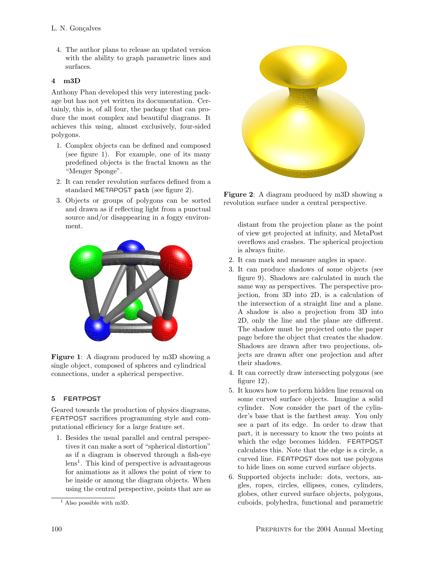4. The author plans to release an updated version with the ability to graph parametric lines and surfaces.

## 4 m3D

Anthony Phan developed this very interesting package but has not yet written its documentation. Certainly, this is, of all four, the package that can produce the most complex and beautiful diagrams. It achieves this using, almost exclusively, four-sided polygons.

- 1. Complex objects can be defined and composed (see figure 1). For example, one of its many predefined objects is the fractal known as the "Menger Sponge".
- 2. It can render revolution surfaces defined from a standard METAPOST path (see figure 2).
- 3. Objects or groups of polygons can be sorted and drawn as if reflecting light from a punctual source and/or disappearing in a foggy environment.



Figure 1: A diagram produced by m3D showing a single object, composed of spheres and cylindrical connections, under a spherical perspective.

## 5 FEATPOST

Geared towards the production of physics diagrams, FEATPOST sacrifices programming style and computational efficiency for a large feature set.

1. Besides the usual parallel and central perspectives it can make a sort of "spherical distortion" as if a diagram is observed through a fish-eye lens<sup>1</sup> . This kind of perspective is advantageous for animations as it allows the point of view to be inside or among the diagram objects. When using the central perspective, points that are as



Figure 2: A diagram produced by m3D showing a revolution surface under a central perspective.

distant from the projection plane as the point of view get projected at infinity, and MetaPost overflows and crashes. The spherical projection is always finite.

- 2. It can mark and measure angles in space.
- 3. It can produce shadows of some objects (see figure 9). Shadows are calculated in much the same way as perspectives. The perspective projection, from 3D into 2D, is a calculation of the intersection of a straight line and a plane. A shadow is also a projection from 3D into 2D, only the line and the plane are different. The shadow must be projected onto the paper page before the object that creates the shadow. Shadows are drawn after two projections, objects are drawn after one projection and after their shadows.
- 4. It can correctly draw intersecting polygons (see figure 12).
- 5. It knows how to perform hidden line removal on some curved surface objects. Imagine a solid cylinder. Now consider the part of the cylinder's base that is the farthest away. You only see a part of its edge. In order to draw that part, it is necessary to know the two points at which the edge becomes hidden. FEATPOST calculates this. Note that the edge is a circle, a curved line. FEATPOST does not use polygons to hide lines on some curved surface objects.
- 6. Supported objects include: dots, vectors, angles, ropes, circles, ellipses, cones, cylinders, globes, other curved surface objects, polygons, cuboids, polyhedra, functional and parametric

 $<sup>1</sup>$  Also possible with m3D.</sup>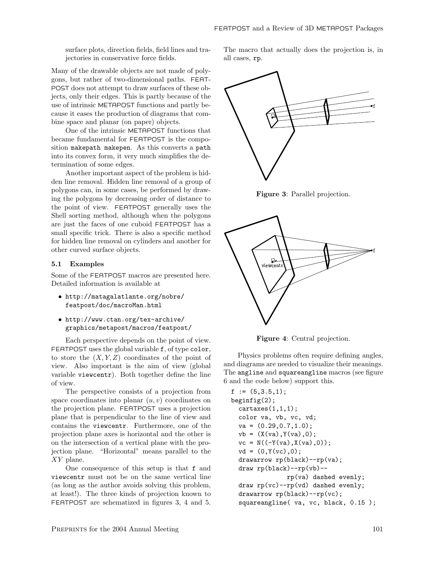surface plots, direction fields, field lines and trajectories in conservative force fields.

Many of the drawable objects are not made of polygons, but rather of two-dimensional paths. FEAT-POST does not attempt to draw surfaces of these objects, only their edges. This is partly because of the use of intrinsic METAPOST functions and partly because it eases the production of diagrams that combine space and planar (on paper) objects.

One of the intrinsic METAPOST functions that became fundamental for FEATPOST is the composition makepath makepen. As this converts a path into its convex form, it very much simplifies the determination of some edges.

Another important aspect of the problem is hidden line removal. Hidden line removal of a group of polygons can, in some cases, be performed by drawing the polygons by decreasing order of distance to the point of view. FEATPOST generally uses the Shell sorting method, although when the polygons are just the faces of one cuboid FEATPOST has a small specific trick. There is also a specific method for hidden line removal on cylinders and another for other curved surface objects.

#### 5.1 Examples

Some of the FEATPOST macros are presented here. Detailed information is available at

- http://matagalatlante.org/nobre/ featpost/doc/macroMan.html
- http://www.ctan.org/tex-archive/ graphics/metapost/macros/featpost/

Each perspective depends on the point of view. FEATPOST uses the global variable f, of type color, to store the  $(X, Y, Z)$  coordinates of the point of view. Also important is the aim of view (global variable viewcentr). Both together define the line of view.

The perspective consists of a projection from space coordinates into planar  $(u, v)$  coordinates on the projection plane. FEATPOST uses a projection plane that is perpendicular to the line of view and contains the viewcentr. Furthermore, one of the projection plane axes is horizontal and the other is on the intersection of a vertical plane with the projection plane. "Horizontal" means parallel to the XY plane.

One consequence of this setup is that f and viewcentr must not be on the same vertical line (as long as the author avoids solving this problem, at least!). The three kinds of projection known to FEATPOST are schematized in figures 3, 4 and 5. The macro that actually does the projection is, in all cases, rp.



Figure 3: Parallel projection.



Figure 4: Central projection.

Physics problems often require defining angles, and diagrams are needed to visualize their meanings. The angline and squareangline macros (see figure 6 and the code below) support this.

```
f := (5,3.5,1);beginfig(2);
  cartaxes(1,1,1);color va, vb, vc, vd;
  va = (0.29, 0.7, 1.0);vb = (X(va), Y(va), 0);vc = N((-Y(va), X(va), 0));vd = (0, Y(vc), 0);drawarrow rp(black)--rp(va);
  draw rp(black) --rp(vb) --rp(va) dashed evenly;
  draw rp(vc)--rp(vd) dashed evenly;
  drawarrow rp(black)--rp(vc);
  squareangline( va, vc, black, 0.15 );
```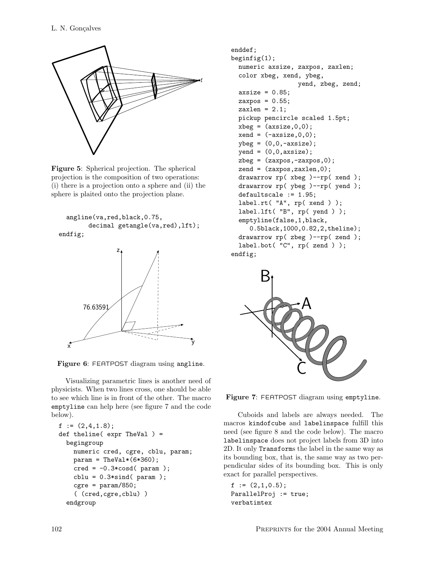

Figure 5: Spherical projection. The spherical projection is the composition of two operations: (i) there is a projection onto a sphere and (ii) the sphere is plaited onto the projection plane.



Figure 6: FEATPOST diagram using angline.

Visualizing parametric lines is another need of physicists. When two lines cross, one should be able to see which line is in front of the other. The macro emptyline can help here (see figure 7 and the code below).

```
f := (2, 4, 1.8);def theline( expr TheVal ) =
  begingroup
    numeric cred, cgre, cblu, param;
    param = TheVal*(6*360);\text{cred} = -0.3 * \text{cosd}(\text{param});cblu = 0.3*sind(param);cgre = param/850;
    ( (cred,cgre,cblu) )
  endgroup
```

```
enddef;
begin{align} \n\text{begin} \n\text{figure(1)}\n\end{align}numeric axsize, zaxpos, zaxlen;
  color xbeg, xend, ybeg,
                    yend, zbeg, zend;
  axsize = 0.85:
  zaxpos = 0.55;
  zaxlen = 2.1;
  pickup pencircle scaled 1.5pt;
  xbeg = (axisize, 0, 0);xend = (-axisize, 0, 0);ybeg = (0,0,-axisize);
  yend = (0,0,axsize);zbeg = (zaxpos, -zaxpos, 0);zend = (zaxpos, zaxlen, 0);drawarrow rp( xbeg )--rp( xend );
  drawarrow rp( ybeg )--rp( yend );
  defaultscale := 1.95;
  label.rt( "A", rp( xend ) );
  label.lft( "B", rp( yend ) );
  emptyline(false,1,black,
     0.5black,1000,0.82,2,theline);
  drawarrow rp( zbeg )--rp( zend );
  label.bot( "C", rp( zend ) );
endfig;
```


Figure 7: FEATPOST diagram using emptyline.

Cuboids and labels are always needed. The macros kindofcube and labelinspace fulfill this need (see figure 8 and the code below). The macro labelinspace does not project labels from 3D into 2D. It only Transforms the label in the same way as its bounding box, that is, the same way as two perpendicular sides of its bounding box. This is only exact for parallel perspectives.

```
f := (2,1,0.5);ParallelProj := true;
verbatimtex
```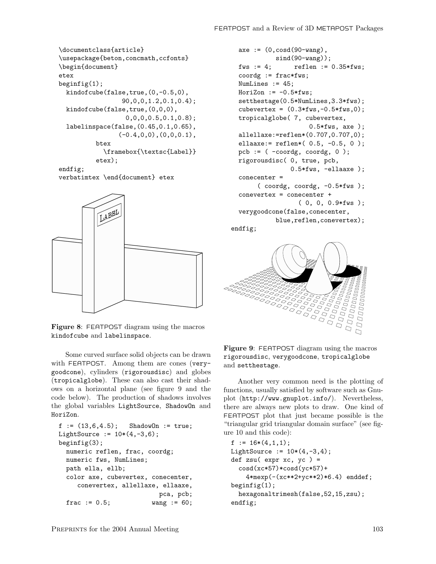```
\documentclass{article}
\usepackage{beton,concmath,ccfonts}
\begin{document}
etex
beginfig(1);
 kindofcube(false,true,(0,-0.5,0),
                 90,0,0,1.2,0.1,0.4);
 kindofcube(false,true,(0,0,0),
                  0,0,0,0.5,0.1,0.8);
 labelinspace(false,(0.45,0.1,0.65),
                (-0.4,0,0), (0,0,0.1),
          btex
            \framebox{\textsc{Label}}
          etex);
endfig;
```

```
verbatimtex \end{document} etex
```


Figure 8: FEATPOST diagram using the macros kindofcube and labelinspace.

Some curved surface solid objects can be drawn with FEATPOST. Among them are cones (verygoodcone), cylinders (rigorousdisc) and globes (tropicalglobe). These can also cast their shadows on a horizontal plane (see figure 9 and the code below). The production of shadows involves the global variables LightSource, ShadowOn and HoriZon.

```
f := (13, 6, 4.5); ShadowOn := true;
LightSource := 10*(4,-3,6);
beginfig(3);
 numeric reflen, frac, coordg;
 numeric fws, NumLines;
 path ella, ellb;
 color axe, cubevertex, conecenter,
    conevertex, allellaxe, ellaaxe,
                          pca, pcb;
 frac := 0.5; wang := 60;
```

```
axe := (0, cosd(90 - wang)),sind(90-wang);
  fws := 4; reflen := 0.35*fws;coordg := frac*fws;NumLines := 45;
  HoriZon := -0.5 * fws;setthestage(0.5*NumLines,3.3*fws);
  cubevertex = (0.3*fws, -0.5*fws, 0);tropicalglobe( 7, cubevertex,
                     0.5*fws, axe );
  allellaxe:=reflen*(0.707,0.707,0);
  ellaaxe:= reflen*( 0.5, -0.5, 0 );
 pcb := (-\text{coordg}, \text{coordg}, 0);
 rigorousdisc( 0, true, pcb,
                0.5*fws, -ellaaxe );
  conecenter =
       ( coordg, coordg, -0.5*fws );
  conevertex = conecenter +
                  ( 0, 0, 0.9*fws );
  verygoodcone(false,conecenter,
            blue,reflen,conevertex);
endfig;
```


Figure 9: FEATPOST diagram using the macros rigorousdisc, verygoodcone, tropicalglobe and setthestage.

Another very common need is the plotting of functions, usually satisfied by software such as Gnuplot (http://www.gnuplot.info/). Nevertheless, there are always new plots to draw. One kind of FEATPOST plot that just became possible is the "triangular grid triangular domain surface" (see figure 10 and this code):

```
f := 16*(4,1,1);LightSource := 10*(4, -3, 4);
def zsu( expr xc, yc) =\cos d(xc*57)*\cos d(yc*57)+4*mexp(-(xc**2+yc**2)*6.4) enddef;
begin{align} \n\frac{1}{2} \n\end{align}hexagonaltrimesh(false,52,15,zsu);
endfig;
```